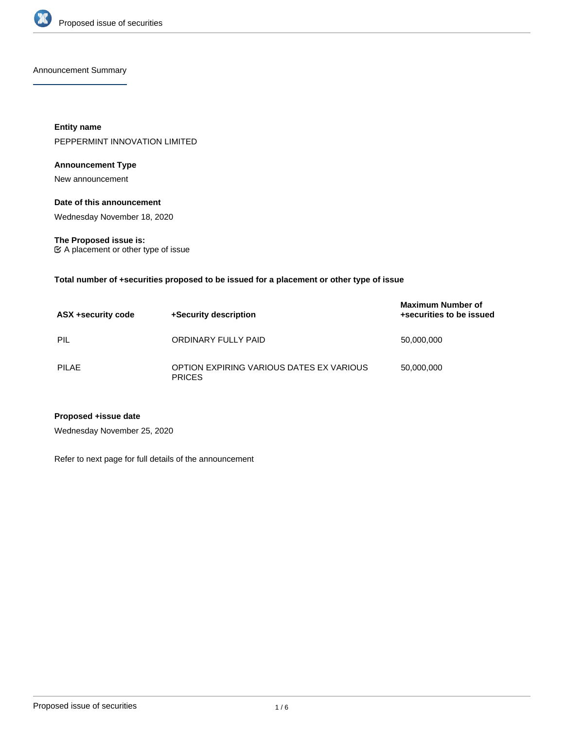

Announcement Summary

**Entity name** PEPPERMINT INNOVATION LIMITED

# **Announcement Type**

New announcement

# **Date of this announcement**

Wednesday November 18, 2020

**The Proposed issue is:** A placement or other type of issue

**Total number of +securities proposed to be issued for a placement or other type of issue**

| ASX +security code | +Security description                                     | <b>Maximum Number of</b><br>+securities to be issued |
|--------------------|-----------------------------------------------------------|------------------------------------------------------|
| PIL                | ORDINARY FULLY PAID                                       | 50,000,000                                           |
| <b>PILAE</b>       | OPTION EXPIRING VARIOUS DATES EX VARIOUS<br><b>PRICES</b> | 50,000,000                                           |

# **Proposed +issue date**

Wednesday November 25, 2020

Refer to next page for full details of the announcement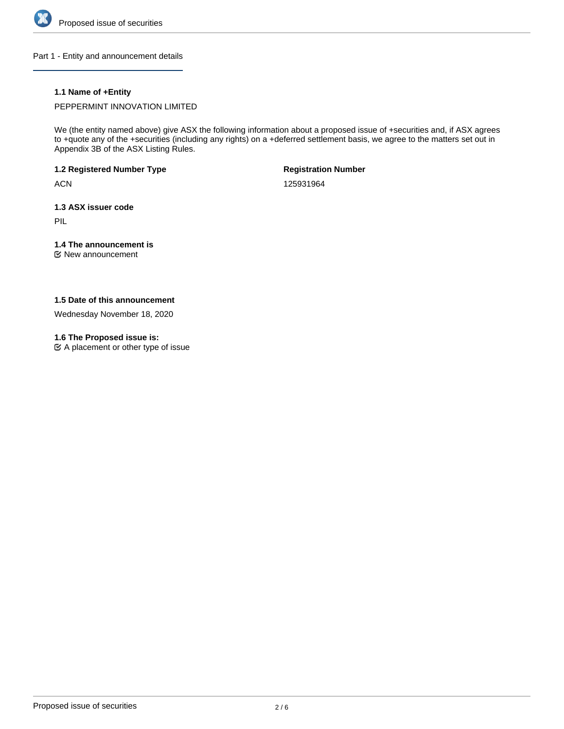

Part 1 - Entity and announcement details

# **1.1 Name of +Entity**

PEPPERMINT INNOVATION LIMITED

We (the entity named above) give ASX the following information about a proposed issue of +securities and, if ASX agrees to +quote any of the +securities (including any rights) on a +deferred settlement basis, we agree to the matters set out in Appendix 3B of the ASX Listing Rules.

**1.2 Registered Number Type**

**ACN** 

**Registration Number**

125931964

**1.3 ASX issuer code**

PIL

# **1.4 The announcement is**

New announcement

# **1.5 Date of this announcement**

Wednesday November 18, 2020

# **1.6 The Proposed issue is:**

 $\mathfrak{C}$  A placement or other type of issue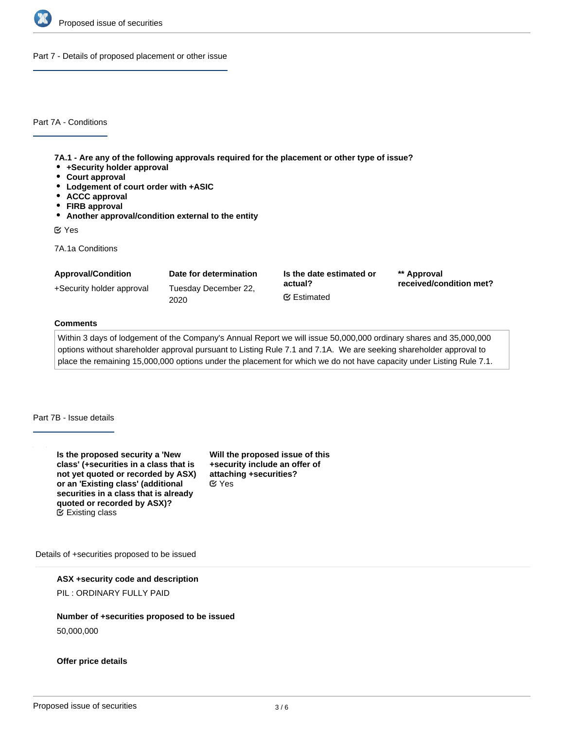

Part 7 - Details of proposed placement or other issue

Part 7A - Conditions

**7A.1 - Are any of the following approvals required for the placement or other type of issue?**

- **+Security holder approval**
- **Court approval**
- **Lodgement of court order with +ASIC**
- **ACCC approval**
- **FIRB approval**
- **Another approval/condition external to the entity**

Yes

7A.1a Conditions

| <b>Approval/Condition</b> | Date for determination       | Is the date estimated or<br>actual?<br><b></b> ■ Estimated | ** Approval<br>received/condition met? |
|---------------------------|------------------------------|------------------------------------------------------------|----------------------------------------|
| +Security holder approval | Tuesday December 22,<br>2020 |                                                            |                                        |

# **Comments**

Within 3 days of lodgement of the Company's Annual Report we will issue 50,000,000 ordinary shares and 35,000,000 options without shareholder approval pursuant to Listing Rule 7.1 and 7.1A. We are seeking shareholder approval to place the remaining 15,000,000 options under the placement for which we do not have capacity under Listing Rule 7.1.

#### Part 7B - Issue details

**Is the proposed security a 'New class' (+securities in a class that is not yet quoted or recorded by ASX) or an 'Existing class' (additional securities in a class that is already quoted or recorded by ASX)?** Existing class

**Will the proposed issue of this +security include an offer of attaching +securities?** Yes

Details of +securities proposed to be issued

**ASX +security code and description**

PIL : ORDINARY FULLY PAID

**Number of +securities proposed to be issued**

50,000,000

**Offer price details**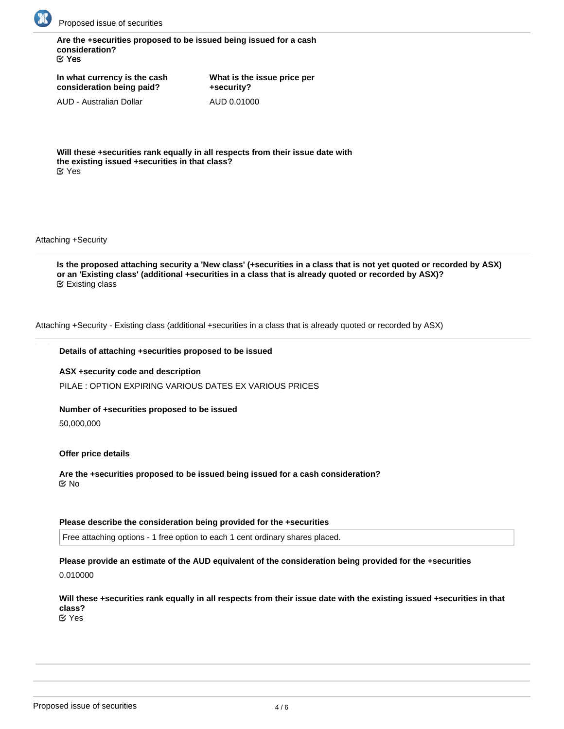

**Are the +securities proposed to be issued being issued for a cash consideration?** Yes

**In what currency is the cash consideration being paid?**

AUD - Australian Dollar

**What is the issue price per +security?** AUD 0.01000

**Will these +securities rank equally in all respects from their issue date with the existing issued +securities in that class?** Yes

Attaching +Security

**Is the proposed attaching security a 'New class' (+securities in a class that is not yet quoted or recorded by ASX) or an 'Existing class' (additional +securities in a class that is already quoted or recorded by ASX)?** Existing class

Attaching +Security - Existing class (additional +securities in a class that is already quoted or recorded by ASX)

#### **Details of attaching +securities proposed to be issued**

**ASX +security code and description**

PILAE : OPTION EXPIRING VARIOUS DATES EX VARIOUS PRICES

# **Number of +securities proposed to be issued**

50,000,000

#### **Offer price details**

**Are the +securities proposed to be issued being issued for a cash consideration?** No

#### **Please describe the consideration being provided for the +securities**

Free attaching options - 1 free option to each 1 cent ordinary shares placed.

# **Please provide an estimate of the AUD equivalent of the consideration being provided for the +securities**

0.010000

# **Will these +securities rank equally in all respects from their issue date with the existing issued +securities in that class?**

Yes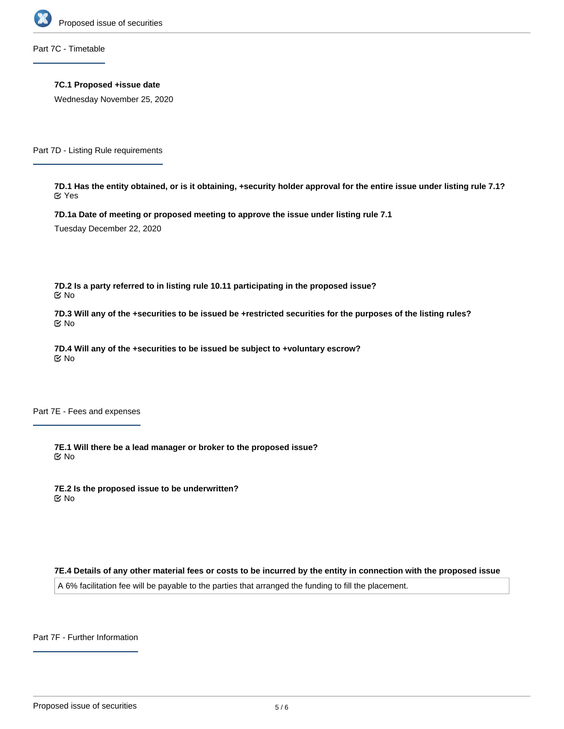

Part 7C - Timetable

**7C.1 Proposed +issue date**

Wednesday November 25, 2020

Part 7D - Listing Rule requirements

**7D.1 Has the entity obtained, or is it obtaining, +security holder approval for the entire issue under listing rule 7.1?** Yes

**7D.1a Date of meeting or proposed meeting to approve the issue under listing rule 7.1**

Tuesday December 22, 2020

**7D.2 Is a party referred to in listing rule 10.11 participating in the proposed issue?** No

**7D.3 Will any of the +securities to be issued be +restricted securities for the purposes of the listing rules?** No

**7D.4 Will any of the +securities to be issued be subject to +voluntary escrow?** No

Part 7E - Fees and expenses

**7E.1 Will there be a lead manager or broker to the proposed issue?** No

**7E.2 Is the proposed issue to be underwritten?** No

**7E.4 Details of any other material fees or costs to be incurred by the entity in connection with the proposed issue**

A 6% facilitation fee will be payable to the parties that arranged the funding to fill the placement.

Part 7F - Further Information